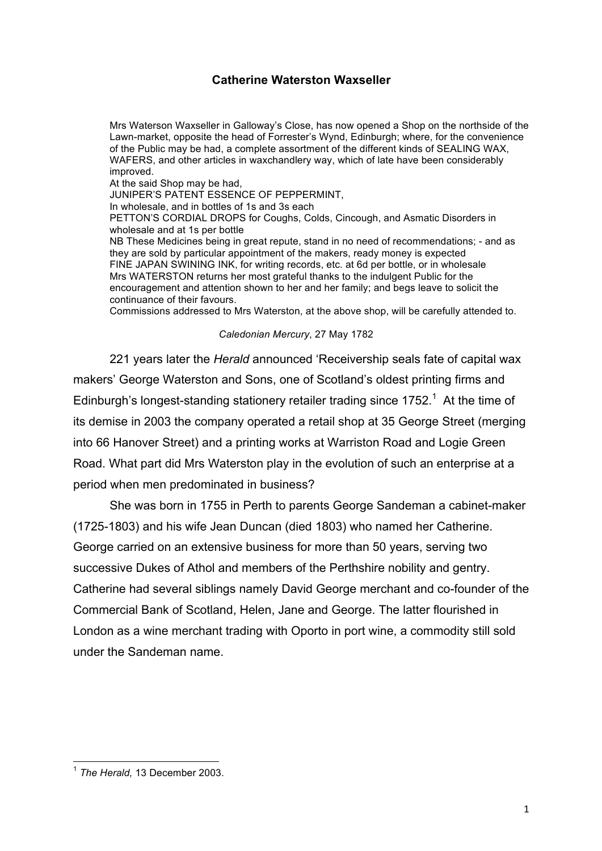## **Catherine Waterston Waxseller**

Mrs Waterson Waxseller in Galloway's Close, has now opened a Shop on the northside of the Lawn-market, opposite the head of Forrester's Wynd, Edinburgh; where, for the convenience of the Public may be had, a complete assortment of the different kinds of SEALING WAX, WAFERS, and other articles in waxchandlery way, which of late have been considerably improved.

At the said Shop may be had,

JUNIPER'S PATENT ESSENCE OF PEPPERMINT,

In wholesale, and in bottles of 1s and 3s each

PETTON'S CORDIAL DROPS for Coughs, Colds, Cincough, and Asmatic Disorders in wholesale and at 1s per bottle

NB These Medicines being in great repute, stand in no need of recommendations; - and as they are sold by particular appointment of the makers, ready money is expected FINE JAPAN SWINING INK, for writing records, etc. at 6d per bottle, or in wholesale Mrs WATERSTON returns her most grateful thanks to the indulgent Public for the encouragement and attention shown to her and her family; and begs leave to solicit the continuance of their favours.

Commissions addressed to Mrs Waterston, at the above shop, will be carefully attended to.

## *Caledonian Mercury*, 27 May 1782

221 years later the *Herald* announced 'Receivership seals fate of capital wax makers' George Waterston and Sons, one of Scotland's oldest printing firms and Edinburgh's longest-standing stationery retailer trading since 1752.<sup>1</sup> At the time of its demise in 2003 the company operated a retail shop at 35 George Street (merging into 66 Hanover Street) and a printing works at Warriston Road and Logie Green Road. What part did Mrs Waterston play in the evolution of such an enterprise at a period when men predominated in business?

She was born in 1755 in Perth to parents George Sandeman a cabinet-maker (1725-1803) and his wife Jean Duncan (died 1803) who named her Catherine. George carried on an extensive business for more than 50 years, serving two successive Dukes of Athol and members of the Perthshire nobility and gentry. Catherine had several siblings namely David George merchant and co-founder of the Commercial Bank of Scotland, Helen, Jane and George. The latter flourished in London as a wine merchant trading with Oporto in port wine, a commodity still sold under the Sandeman name.

 <sup>1</sup> *The Herald,* 13 December 2003.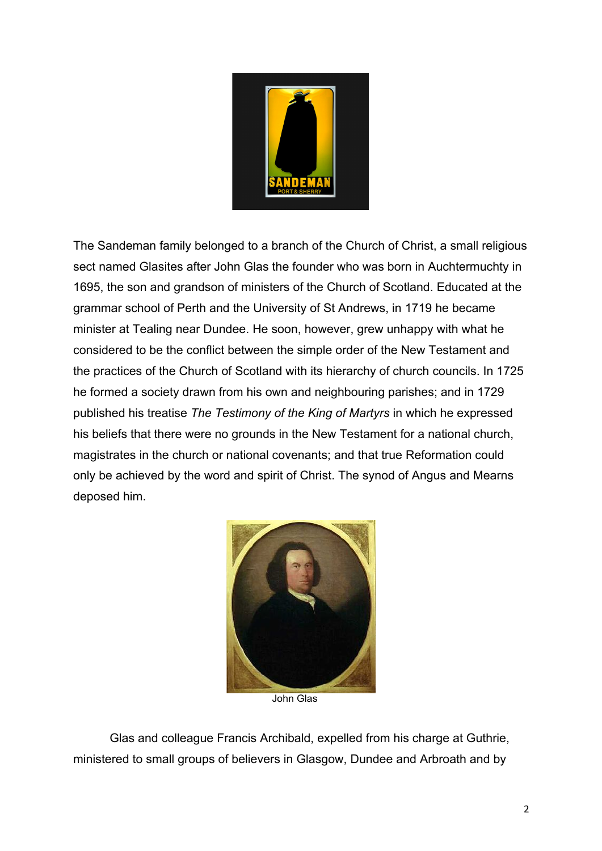

The Sandeman family belonged to a branch of the Church of Christ, a small religious sect named Glasites after John Glas the founder who was born in Auchtermuchty in 1695, the son and grandson of ministers of the Church of Scotland. Educated at the grammar school of Perth and the University of St Andrews, in 1719 he became minister at Tealing near Dundee. He soon, however, grew unhappy with what he considered to be the conflict between the simple order of the New Testament and the practices of the Church of Scotland with its hierarchy of church councils. In 1725 he formed a society drawn from his own and neighbouring parishes; and in 1729 published his treatise *The Testimony of the King of Martyrs* in which he expressed his beliefs that there were no grounds in the New Testament for a national church, magistrates in the church or national covenants; and that true Reformation could only be achieved by the word and spirit of Christ. The synod of Angus and Mearns deposed him.



John Glas

Glas and colleague Francis Archibald, expelled from his charge at Guthrie, ministered to small groups of believers in Glasgow, Dundee and Arbroath and by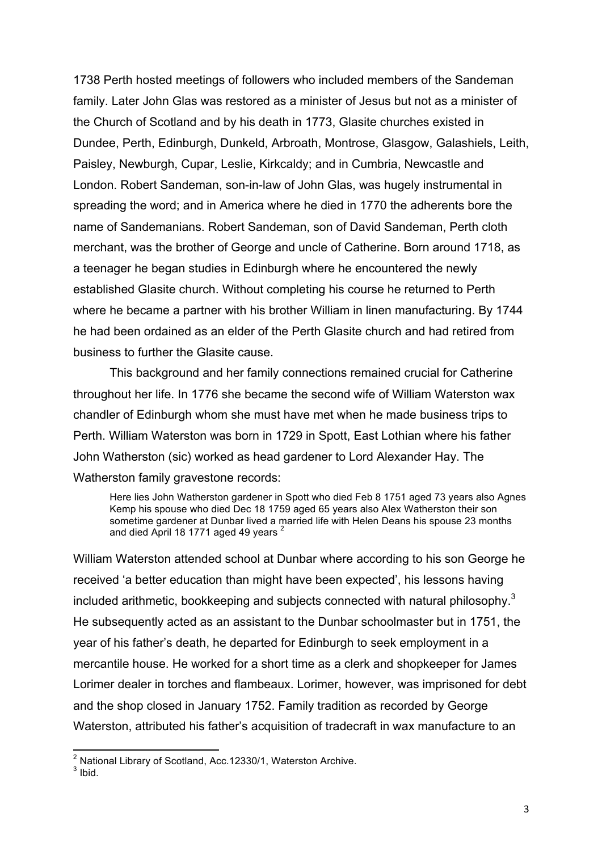1738 Perth hosted meetings of followers who included members of the Sandeman family. Later John Glas was restored as a minister of Jesus but not as a minister of the Church of Scotland and by his death in 1773, Glasite churches existed in Dundee, Perth, Edinburgh, Dunkeld, Arbroath, Montrose, Glasgow, Galashiels, Leith, Paisley, Newburgh, Cupar, Leslie, Kirkcaldy; and in Cumbria, Newcastle and London. Robert Sandeman, son-in-law of John Glas, was hugely instrumental in spreading the word; and in America where he died in 1770 the adherents bore the name of Sandemanians. Robert Sandeman, son of David Sandeman, Perth cloth merchant, was the brother of George and uncle of Catherine. Born around 1718, as a teenager he began studies in Edinburgh where he encountered the newly established Glasite church. Without completing his course he returned to Perth where he became a partner with his brother William in linen manufacturing. By 1744 he had been ordained as an elder of the Perth Glasite church and had retired from business to further the Glasite cause.

This background and her family connections remained crucial for Catherine throughout her life. In 1776 she became the second wife of William Waterston wax chandler of Edinburgh whom she must have met when he made business trips to Perth. William Waterston was born in 1729 in Spott, East Lothian where his father John Watherston (sic) worked as head gardener to Lord Alexander Hay. The Watherston family gravestone records:

Here lies John Watherston gardener in Spott who died Feb 8 1751 aged 73 years also Agnes Kemp his spouse who died Dec 18 1759 aged 65 years also Alex Watherston their son sometime gardener at Dunbar lived a married life with Helen Deans his spouse 23 months and died April 18 1771 aged 49 years

William Waterston attended school at Dunbar where according to his son George he received 'a better education than might have been expected', his lessons having included arithmetic, bookkeeping and subjects connected with natural philosophy.<sup>3</sup> He subsequently acted as an assistant to the Dunbar schoolmaster but in 1751, the year of his father's death, he departed for Edinburgh to seek employment in a mercantile house. He worked for a short time as a clerk and shopkeeper for James Lorimer dealer in torches and flambeaux. Lorimer, however, was imprisoned for debt and the shop closed in January 1752. Family tradition as recorded by George Waterston, attributed his father's acquisition of tradecraft in wax manufacture to an

 <sup>2</sup> National Library of Scotland, Acc.12330/1, Waterston Archive.

 $3$  Ibid.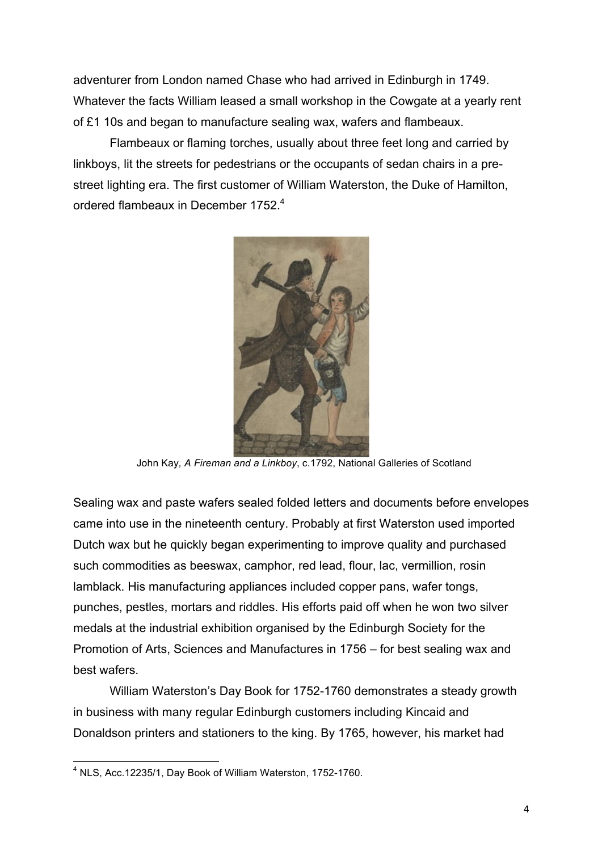adventurer from London named Chase who had arrived in Edinburgh in 1749. Whatever the facts William leased a small workshop in the Cowgate at a yearly rent of £1 10s and began to manufacture sealing wax, wafers and flambeaux.

Flambeaux or flaming torches, usually about three feet long and carried by linkboys, lit the streets for pedestrians or the occupants of sedan chairs in a prestreet lighting era. The first customer of William Waterston, the Duke of Hamilton, ordered flambeaux in December 1752.<sup>4</sup>



John Kay*, A Fireman and a Linkboy*, c.1792, National Galleries of Scotland

Sealing wax and paste wafers sealed folded letters and documents before envelopes came into use in the nineteenth century. Probably at first Waterston used imported Dutch wax but he quickly began experimenting to improve quality and purchased such commodities as beeswax, camphor, red lead, flour, lac, vermillion, rosin lamblack. His manufacturing appliances included copper pans, wafer tongs, punches, pestles, mortars and riddles. His efforts paid off when he won two silver medals at the industrial exhibition organised by the Edinburgh Society for the Promotion of Arts, Sciences and Manufactures in 1756 – for best sealing wax and best wafers.

William Waterston's Day Book for 1752-1760 demonstrates a steady growth in business with many regular Edinburgh customers including Kincaid and Donaldson printers and stationers to the king. By 1765, however, his market had

 <sup>4</sup> NLS, Acc.12235/1, Day Book of William Waterston, 1752-1760.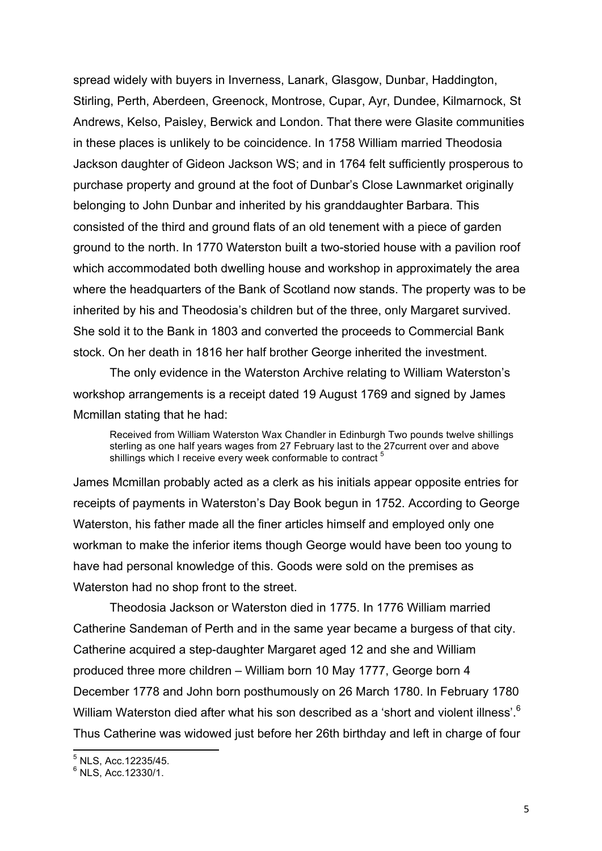spread widely with buyers in Inverness, Lanark, Glasgow, Dunbar, Haddington, Stirling, Perth, Aberdeen, Greenock, Montrose, Cupar, Ayr, Dundee, Kilmarnock, St Andrews, Kelso, Paisley, Berwick and London. That there were Glasite communities in these places is unlikely to be coincidence. In 1758 William married Theodosia Jackson daughter of Gideon Jackson WS; and in 1764 felt sufficiently prosperous to purchase property and ground at the foot of Dunbar's Close Lawnmarket originally belonging to John Dunbar and inherited by his granddaughter Barbara. This consisted of the third and ground flats of an old tenement with a piece of garden ground to the north. In 1770 Waterston built a two-storied house with a pavilion roof which accommodated both dwelling house and workshop in approximately the area where the headquarters of the Bank of Scotland now stands. The property was to be inherited by his and Theodosia's children but of the three, only Margaret survived. She sold it to the Bank in 1803 and converted the proceeds to Commercial Bank stock. On her death in 1816 her half brother George inherited the investment.

The only evidence in the Waterston Archive relating to William Waterston's workshop arrangements is a receipt dated 19 August 1769 and signed by James Mcmillan stating that he had:

Received from William Waterston Wax Chandler in Edinburgh Two pounds twelve shillings sterling as one half years wages from 27 February last to the 27current over and above shillings which I receive every week conformable to contract<sup>5</sup>

James Mcmillan probably acted as a clerk as his initials appear opposite entries for receipts of payments in Waterston's Day Book begun in 1752. According to George Waterston, his father made all the finer articles himself and employed only one workman to make the inferior items though George would have been too young to have had personal knowledge of this. Goods were sold on the premises as Waterston had no shop front to the street.

Theodosia Jackson or Waterston died in 1775. In 1776 William married Catherine Sandeman of Perth and in the same year became a burgess of that city. Catherine acquired a step-daughter Margaret aged 12 and she and William produced three more children – William born 10 May 1777, George born 4 December 1778 and John born posthumously on 26 March 1780. In February 1780 William Waterston died after what his son described as a 'short and violent illness'.<sup>6</sup> Thus Catherine was widowed just before her 26th birthday and left in charge of four

 <sup>5</sup> NLS, Acc.12235/45.

 $6$  NLS, Acc. 12330/1.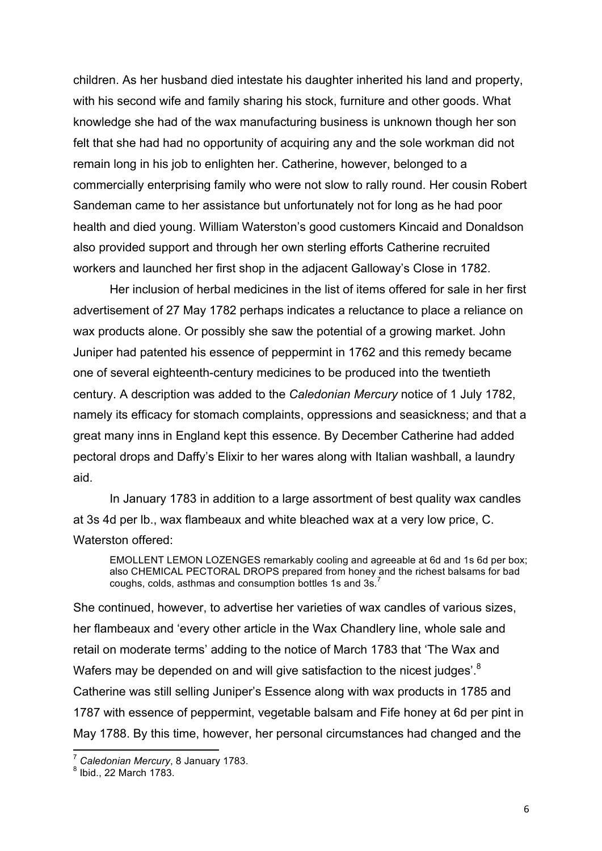children. As her husband died intestate his daughter inherited his land and property, with his second wife and family sharing his stock, furniture and other goods. What knowledge she had of the wax manufacturing business is unknown though her son felt that she had had no opportunity of acquiring any and the sole workman did not remain long in his job to enlighten her. Catherine, however, belonged to a commercially enterprising family who were not slow to rally round. Her cousin Robert Sandeman came to her assistance but unfortunately not for long as he had poor health and died young. William Waterston's good customers Kincaid and Donaldson also provided support and through her own sterling efforts Catherine recruited workers and launched her first shop in the adjacent Galloway's Close in 1782.

Her inclusion of herbal medicines in the list of items offered for sale in her first advertisement of 27 May 1782 perhaps indicates a reluctance to place a reliance on wax products alone. Or possibly she saw the potential of a growing market. John Juniper had patented his essence of peppermint in 1762 and this remedy became one of several eighteenth-century medicines to be produced into the twentieth century. A description was added to the *Caledonian Mercury* notice of 1 July 1782, namely its efficacy for stomach complaints, oppressions and seasickness; and that a great many inns in England kept this essence. By December Catherine had added pectoral drops and Daffy's Elixir to her wares along with Italian washball, a laundry aid.

In January 1783 in addition to a large assortment of best quality wax candles at 3s 4d per lb., wax flambeaux and white bleached wax at a very low price, C. Waterston offered:

EMOLLENT LEMON LOZENGES remarkably cooling and agreeable at 6d and 1s 6d per box; also CHEMICAL PECTORAL DROPS prepared from honey and the richest balsams for bad coughs, colds, asthmas and consumption bottles 1s and 3s.<sup>7</sup>

She continued, however, to advertise her varieties of wax candles of various sizes, her flambeaux and 'every other article in the Wax Chandlery line, whole sale and retail on moderate terms' adding to the notice of March 1783 that 'The Wax and Wafers may be depended on and will give satisfaction to the nicest judges'.<sup>8</sup> Catherine was still selling Juniper's Essence along with wax products in 1785 and 1787 with essence of peppermint, vegetable balsam and Fife honey at 6d per pint in May 1788. By this time, however, her personal circumstances had changed and the

<sup>&</sup>lt;sup>7</sup> Caledonian Mercury, 8 January 1783.<br><sup>8</sup> Ibid., 22 March 1783.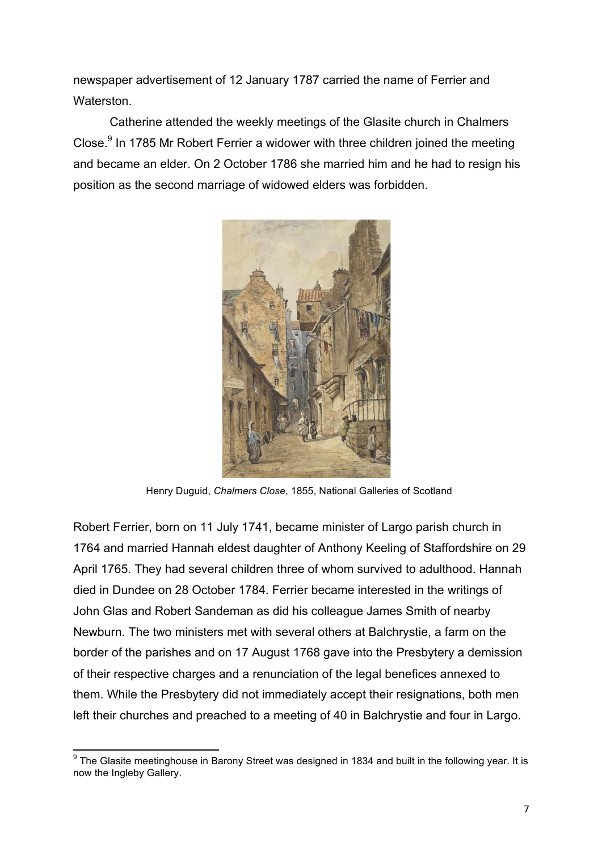newspaper advertisement of 12 January 1787 carried the name of Ferrier and Waterston.

Catherine attended the weekly meetings of the Glasite church in Chalmers Close.<sup>9</sup> In 1785 Mr Robert Ferrier a widower with three children joined the meeting and became an elder. On 2 October 1786 she married him and he had to resign his position as the second marriage of widowed elders was forbidden.



Henry Duguid, *Chalmers Close*, 1855, National Galleries of Scotland

Robert Ferrier, born on 11 July 1741, became minister of Largo parish church in 1764 and married Hannah eldest daughter of Anthony Keeling of Staffordshire on 29 April 1765. They had several children three of whom survived to adulthood. Hannah died in Dundee on 28 October 1784. Ferrier became interested in the writings of John Glas and Robert Sandeman as did his colleague James Smith of nearby Newburn. The two ministers met with several others at Balchrystie, a farm on the border of the parishes and on 17 August 1768 gave into the Presbytery a demission of their respective charges and a renunciation of the legal benefices annexed to them. While the Presbytery did not immediately accept their resignations, both men left their churches and preached to a meeting of 40 in Balchrystie and four in Largo.

 $9$  The Glasite meetinghouse in Barony Street was designed in 1834 and built in the following year. It is now the Ingleby Gallery.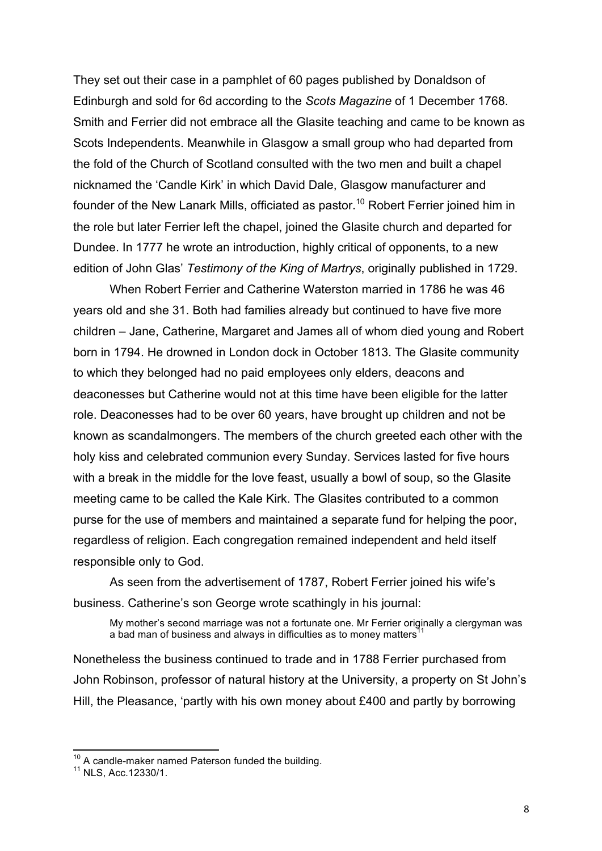They set out their case in a pamphlet of 60 pages published by Donaldson of Edinburgh and sold for 6d according to the *Scots Magazine* of 1 December 1768. Smith and Ferrier did not embrace all the Glasite teaching and came to be known as Scots Independents. Meanwhile in Glasgow a small group who had departed from the fold of the Church of Scotland consulted with the two men and built a chapel nicknamed the 'Candle Kirk' in which David Dale, Glasgow manufacturer and founder of the New Lanark Mills, officiated as pastor.<sup>10</sup> Robert Ferrier joined him in the role but later Ferrier left the chapel, joined the Glasite church and departed for Dundee. In 1777 he wrote an introduction, highly critical of opponents, to a new edition of John Glas' *Testimony of the King of Martrys*, originally published in 1729.

When Robert Ferrier and Catherine Waterston married in 1786 he was 46 years old and she 31. Both had families already but continued to have five more children – Jane, Catherine, Margaret and James all of whom died young and Robert born in 1794. He drowned in London dock in October 1813. The Glasite community to which they belonged had no paid employees only elders, deacons and deaconesses but Catherine would not at this time have been eligible for the latter role. Deaconesses had to be over 60 years, have brought up children and not be known as scandalmongers. The members of the church greeted each other with the holy kiss and celebrated communion every Sunday. Services lasted for five hours with a break in the middle for the love feast, usually a bowl of soup, so the Glasite meeting came to be called the Kale Kirk. The Glasites contributed to a common purse for the use of members and maintained a separate fund for helping the poor, regardless of religion. Each congregation remained independent and held itself responsible only to God.

As seen from the advertisement of 1787, Robert Ferrier joined his wife's business. Catherine's son George wrote scathingly in his journal:

My mother's second marriage was not a fortunate one. Mr Ferrier originally a clergyman was a bad man of business and always in difficulties as to money matters<sup>1</sup>

Nonetheless the business continued to trade and in 1788 Ferrier purchased from John Robinson, professor of natural history at the University, a property on St John's Hill, the Pleasance, 'partly with his own money about £400 and partly by borrowing

<sup>&</sup>lt;sup>10</sup> A candle-maker named Paterson funded the building.<br><sup>11</sup> NLS, Acc.12330/1.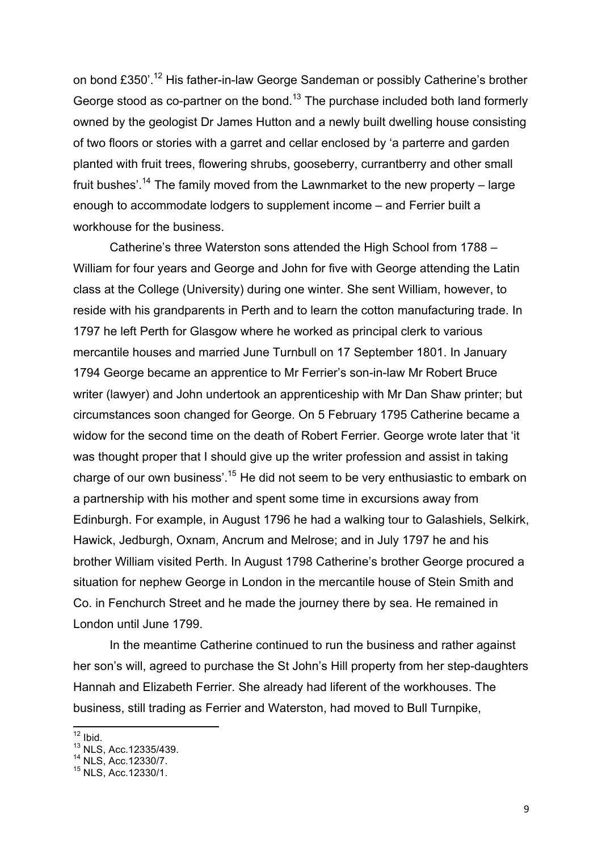on bond £350'.<sup>12</sup> His father-in-law George Sandeman or possibly Catherine's brother George stood as co-partner on the bond.<sup>13</sup> The purchase included both land formerly owned by the geologist Dr James Hutton and a newly built dwelling house consisting of two floors or stories with a garret and cellar enclosed by 'a parterre and garden planted with fruit trees, flowering shrubs, gooseberry, currantberry and other small fruit bushes'.<sup>14</sup> The family moved from the Lawnmarket to the new property – large enough to accommodate lodgers to supplement income – and Ferrier built a workhouse for the business.

Catherine's three Waterston sons attended the High School from 1788 – William for four years and George and John for five with George attending the Latin class at the College (University) during one winter. She sent William, however, to reside with his grandparents in Perth and to learn the cotton manufacturing trade. In 1797 he left Perth for Glasgow where he worked as principal clerk to various mercantile houses and married June Turnbull on 17 September 1801. In January 1794 George became an apprentice to Mr Ferrier's son-in-law Mr Robert Bruce writer (lawyer) and John undertook an apprenticeship with Mr Dan Shaw printer; but circumstances soon changed for George. On 5 February 1795 Catherine became a widow for the second time on the death of Robert Ferrier. George wrote later that 'it was thought proper that I should give up the writer profession and assist in taking charge of our own business'.<sup>15</sup> He did not seem to be very enthusiastic to embark on a partnership with his mother and spent some time in excursions away from Edinburgh. For example, in August 1796 he had a walking tour to Galashiels, Selkirk, Hawick, Jedburgh, Oxnam, Ancrum and Melrose; and in July 1797 he and his brother William visited Perth. In August 1798 Catherine's brother George procured a situation for nephew George in London in the mercantile house of Stein Smith and Co. in Fenchurch Street and he made the journey there by sea. He remained in London until June 1799.

In the meantime Catherine continued to run the business and rather against her son's will, agreed to purchase the St John's Hill property from her step-daughters Hannah and Elizabeth Ferrier. She already had liferent of the workhouses. The business, still trading as Ferrier and Waterston, had moved to Bull Turnpike,

 $12$  Ibid.

<sup>13</sup> NLS, Acc.12335/439.

<sup>&</sup>lt;sup>14</sup> NLS, Acc.12330/7.

<sup>15</sup> NLS, Acc.12330/1.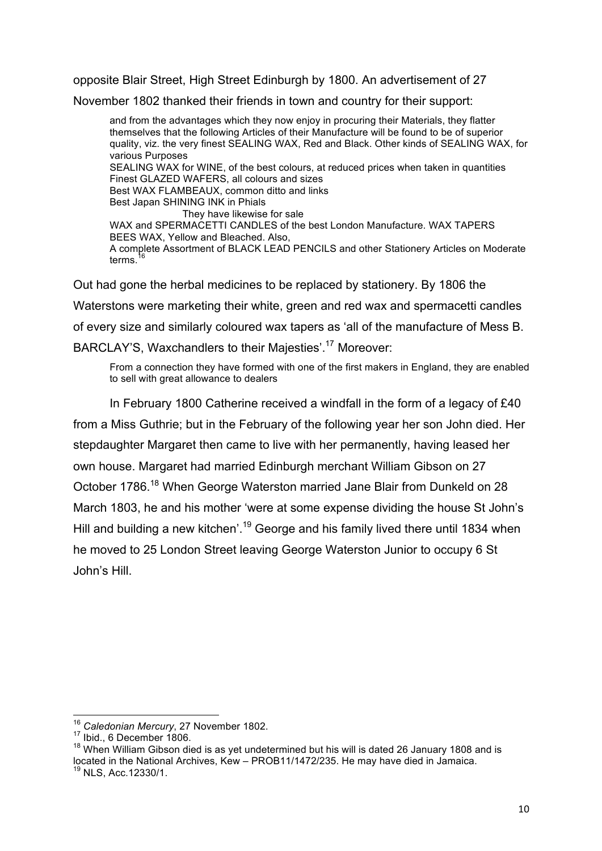opposite Blair Street, High Street Edinburgh by 1800. An advertisement of 27

November 1802 thanked their friends in town and country for their support:

and from the advantages which they now enjoy in procuring their Materials, they flatter themselves that the following Articles of their Manufacture will be found to be of superior quality, viz. the very finest SEALING WAX, Red and Black. Other kinds of SEALING WAX, for various Purposes SEALING WAX for WINE, of the best colours, at reduced prices when taken in quantities Finest GLAZED WAFERS, all colours and sizes Best WAX FLAMBEAUX, common ditto and links Best Japan SHINING INK in Phials They have likewise for sale WAX and SPERMACETTI CANDLES of the best London Manufacture. WAX TAPERS BEES WAX, Yellow and Bleached. Also, A complete Assortment of BLACK LEAD PENCILS and other Stationery Articles on Moderate terms.<sup>16</sup>

Out had gone the herbal medicines to be replaced by stationery. By 1806 the Waterstons were marketing their white, green and red wax and spermacetti candles of every size and similarly coloured wax tapers as 'all of the manufacture of Mess B. BARCLAY'S, Waxchandlers to their Majesties'.17 Moreover:

From a connection they have formed with one of the first makers in England, they are enabled to sell with great allowance to dealers

In February 1800 Catherine received a windfall in the form of a legacy of £40 from a Miss Guthrie; but in the February of the following year her son John died. Her stepdaughter Margaret then came to live with her permanently, having leased her own house. Margaret had married Edinburgh merchant William Gibson on 27 October 1786.<sup>18</sup> When George Waterston married Jane Blair from Dunkeld on 28 March 1803, he and his mother 'were at some expense dividing the house St John's Hill and building a new kitchen'.<sup>19</sup> George and his family lived there until 1834 when he moved to 25 London Street leaving George Waterston Junior to occupy 6 St John's Hill.

 <sup>16</sup> *Caledonian Mercury*, 27 November 1802.

<sup>17</sup> Ibid., 6 December 1806.

 $18$  When William Gibson died is as yet undetermined but his will is dated 26 January 1808 and is located in the National Archives, Kew – PROB11/1472/235. He may have died in Jamaica.  $^{19}$  NLS, Acc.12330/1.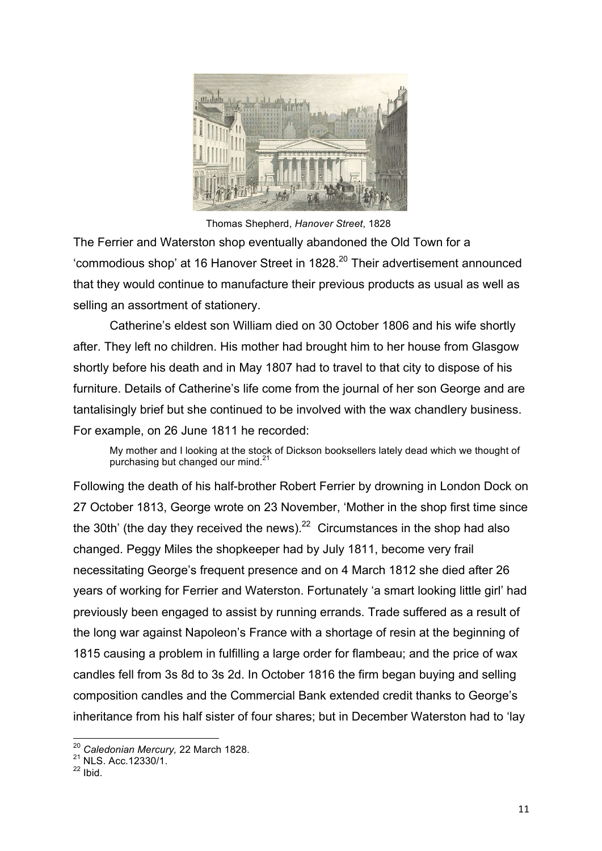

Thomas Shepherd, *Hanover Street*, 1828

The Ferrier and Waterston shop eventually abandoned the Old Town for a 'commodious shop' at 16 Hanover Street in 1828.<sup>20</sup> Their advertisement announced that they would continue to manufacture their previous products as usual as well as selling an assortment of stationery.

Catherine's eldest son William died on 30 October 1806 and his wife shortly after. They left no children. His mother had brought him to her house from Glasgow shortly before his death and in May 1807 had to travel to that city to dispose of his furniture. Details of Catherine's life come from the journal of her son George and are tantalisingly brief but she continued to be involved with the wax chandlery business. For example, on 26 June 1811 he recorded:

My mother and I looking at the stock of Dickson booksellers lately dead which we thought of purchasing but changed our mind.<sup>2</sup>

Following the death of his half-brother Robert Ferrier by drowning in London Dock on 27 October 1813, George wrote on 23 November, 'Mother in the shop first time since the 30th' (the day they received the news). $22$  Circumstances in the shop had also changed. Peggy Miles the shopkeeper had by July 1811, become very frail necessitating George's frequent presence and on 4 March 1812 she died after 26 years of working for Ferrier and Waterston. Fortunately 'a smart looking little girl' had previously been engaged to assist by running errands. Trade suffered as a result of the long war against Napoleon's France with a shortage of resin at the beginning of 1815 causing a problem in fulfilling a large order for flambeau; and the price of wax candles fell from 3s 8d to 3s 2d. In October 1816 the firm began buying and selling composition candles and the Commercial Bank extended credit thanks to George's inheritance from his half sister of four shares; but in December Waterston had to 'lay

<sup>&</sup>lt;sup>20</sup> Caledonian Mercury, 22 March 1828.<br><sup>21</sup> NLS. Acc.12330/1.

 $22$  Ibid.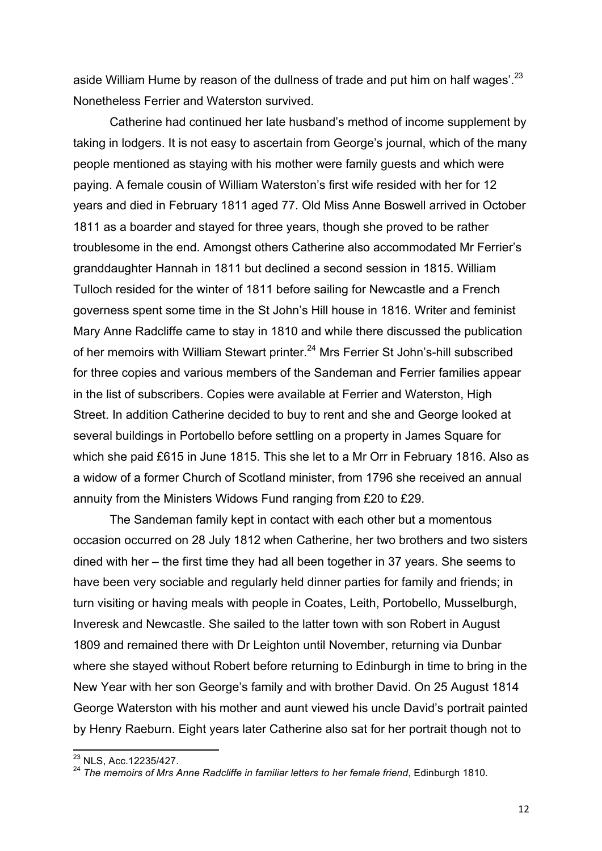aside William Hume by reason of the dullness of trade and put him on half wages'.<sup>23</sup> Nonetheless Ferrier and Waterston survived.

Catherine had continued her late husband's method of income supplement by taking in lodgers. It is not easy to ascertain from George's journal, which of the many people mentioned as staying with his mother were family guests and which were paying. A female cousin of William Waterston's first wife resided with her for 12 years and died in February 1811 aged 77. Old Miss Anne Boswell arrived in October 1811 as a boarder and stayed for three years, though she proved to be rather troublesome in the end. Amongst others Catherine also accommodated Mr Ferrier's granddaughter Hannah in 1811 but declined a second session in 1815. William Tulloch resided for the winter of 1811 before sailing for Newcastle and a French governess spent some time in the St John's Hill house in 1816. Writer and feminist Mary Anne Radcliffe came to stay in 1810 and while there discussed the publication of her memoirs with William Stewart printer.<sup>24</sup> Mrs Ferrier St John's-hill subscribed for three copies and various members of the Sandeman and Ferrier families appear in the list of subscribers. Copies were available at Ferrier and Waterston, High Street. In addition Catherine decided to buy to rent and she and George looked at several buildings in Portobello before settling on a property in James Square for which she paid £615 in June 1815. This she let to a Mr Orr in February 1816. Also as a widow of a former Church of Scotland minister, from 1796 she received an annual annuity from the Ministers Widows Fund ranging from £20 to £29.

The Sandeman family kept in contact with each other but a momentous occasion occurred on 28 July 1812 when Catherine, her two brothers and two sisters dined with her – the first time they had all been together in 37 years. She seems to have been very sociable and regularly held dinner parties for family and friends; in turn visiting or having meals with people in Coates, Leith, Portobello, Musselburgh, Inveresk and Newcastle. She sailed to the latter town with son Robert in August 1809 and remained there with Dr Leighton until November, returning via Dunbar where she stayed without Robert before returning to Edinburgh in time to bring in the New Year with her son George's family and with brother David. On 25 August 1814 George Waterston with his mother and aunt viewed his uncle David's portrait painted by Henry Raeburn. Eight years later Catherine also sat for her portrait though not to

 <sup>23</sup> NLS, Acc.12235/427.

<sup>24</sup> *The memoirs of Mrs Anne Radcliffe in familiar letters to her female friend*, Edinburgh 1810.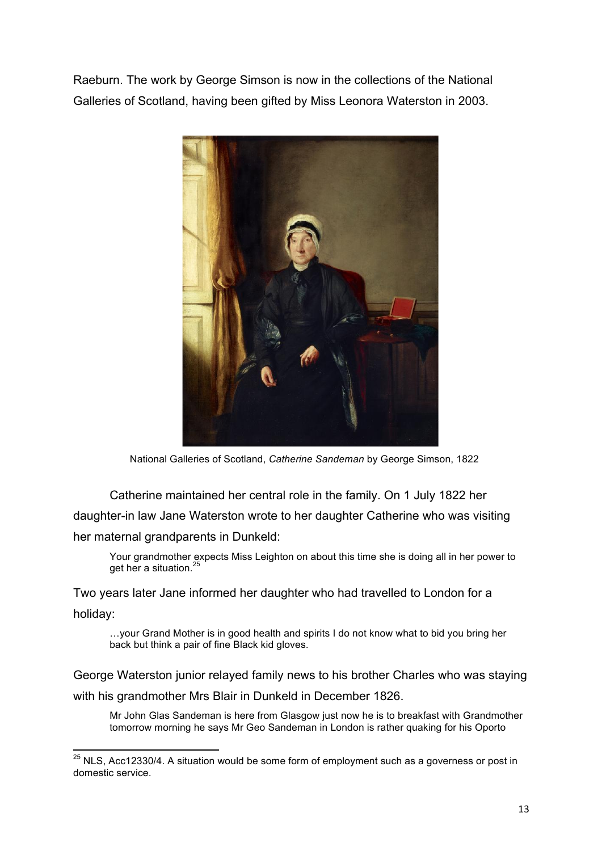Raeburn. The work by George Simson is now in the collections of the National Galleries of Scotland, having been gifted by Miss Leonora Waterston in 2003.



National Galleries of Scotland, *Catherine Sandeman* by George Simson, 1822

Catherine maintained her central role in the family. On 1 July 1822 her daughter-in law Jane Waterston wrote to her daughter Catherine who was visiting her maternal grandparents in Dunkeld:

Your grandmother expects Miss Leighton on about this time she is doing all in her power to get her a situation.<sup>25</sup>

Two years later Jane informed her daughter who had travelled to London for a holiday:

…your Grand Mother is in good health and spirits I do not know what to bid you bring her back but think a pair of fine Black kid gloves.

George Waterston junior relayed family news to his brother Charles who was staying with his grandmother Mrs Blair in Dunkeld in December 1826.

Mr John Glas Sandeman is here from Glasgow just now he is to breakfast with Grandmother tomorrow morning he says Mr Geo Sandeman in London is rather quaking for his Oporto

 $25$  NLS, Acc12330/4. A situation would be some form of employment such as a governess or post in domestic service.